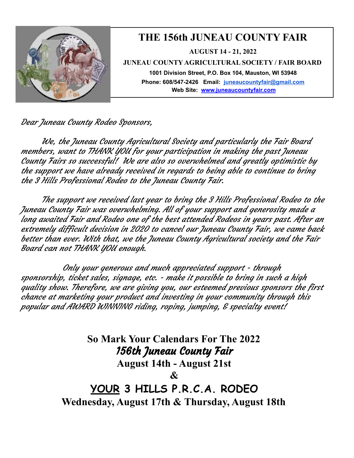

Dear Juneau County Rodeo Sponsors,

We, the Juneau County Agricultural Society and particularly the Fair Board members, want to THANK YOU for your participation in making the past Juneau County Fairs so successful! We are also so overwhelmed and greatly optimistic by the support we have already received in regards to being able to continue to bring the 3 Hills Professional Rodeo to the Juneau County Fair.

The support we received last year to bring the 3 Hills Professional Rodeo to the Juneau County Fair was overwhelming. All of your support and generosity made <sup>a</sup> long awaited Fair and Rodeo one of the best attended Rodeos in years past. After an extremely difficult decision in 2020 to cancel our Juneau County Fair, we came back better than ever. With that, we the Juneau County Agricultural society and the Fair Board can not THANK YOU enough.

Only your generous and much appreciated support - through sponsorship, ticket sales, signage, etc. - make it possible to bring in such <sup>a</sup> high quality show. Therefore, we are giving you, our esteemed previous sponsors the first chance at marketing your product and investing in your community through this popular and AWARD WINNING riding, roping, jumping, & specialty event!

> **So Mark Your Calendars For The 2022** 156th Juneau County Fair **August 14th - August 21st & YOUR 3 HILLS P.R.C.A. RODEO Wednesday, August 17th & Thursday, August 18th**